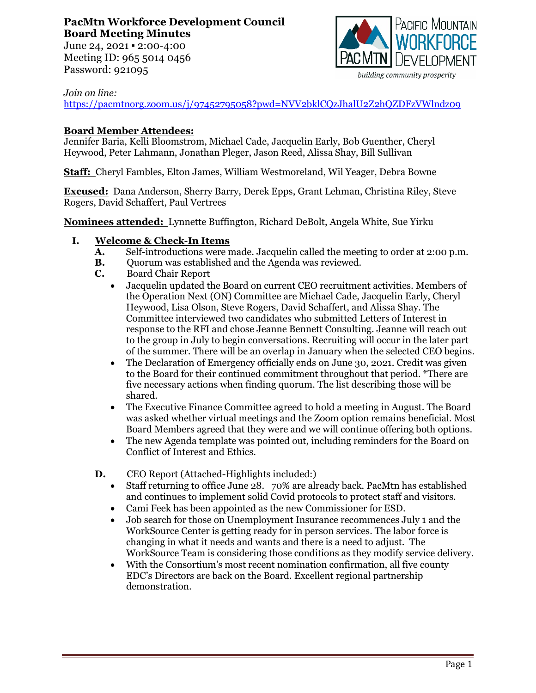# **PacMtn Workforce Development Council Board Meeting Minutes**

June 24, 2021 ▪ 2:00-4:00 Meeting ID: 965 5014 0456 Password: 921095



#### *Join on line:*

<https://pacmtnorg.zoom.us/j/97452795058?pwd=NVV2bklCQzJhalU2Z2hQZDFzVWlndz09>

# **Board Member Attendees:**

Jennifer Baria, Kelli Bloomstrom, Michael Cade, Jacquelin Early, Bob Guenther, Cheryl Heywood, Peter Lahmann, Jonathan Pleger, Jason Reed, Alissa Shay, Bill Sullivan

**Staff:** Cheryl Fambles, Elton James, William Westmoreland, Wil Yeager, Debra Bowne

**Excused:** Dana Anderson, Sherry Barry, Derek Epps, Grant Lehman, Christina Riley, Steve Rogers, David Schaffert, Paul Vertrees

**Nominees attended:** Lynnette Buffington, Richard DeBolt, Angela White, Sue Yirku

# **I. Welcome & Check-In Items**

- **A.** Self-introductions were made. Jacquelin called the meeting to order at 2:00 p.m.<br>**B.** Ouorum was established and the Agenda was reviewed.
- **B.** Quorum was established and the Agenda was reviewed.
- **C.** Board Chair Report
	- Jacquelin updated the Board on current CEO recruitment activities. Members of the Operation Next (ON) Committee are Michael Cade, Jacquelin Early, Cheryl Heywood, Lisa Olson, Steve Rogers, David Schaffert, and Alissa Shay. The Committee interviewed two candidates who submitted Letters of Interest in response to the RFI and chose Jeanne Bennett Consulting. Jeanne will reach out to the group in July to begin conversations. Recruiting will occur in the later part of the summer. There will be an overlap in January when the selected CEO begins.
	- The Declaration of Emergency officially ends on June 30, 2021. Credit was given to the Board for their continued commitment throughout that period. \*There are five necessary actions when finding quorum. The list describing those will be shared.
	- The Executive Finance Committee agreed to hold a meeting in August. The Board was asked whether virtual meetings and the Zoom option remains beneficial. Most Board Members agreed that they were and we will continue offering both options.
	- The new Agenda template was pointed out, including reminders for the Board on Conflict of Interest and Ethics.
- **D.** CEO Report (Attached-Highlights included:)
	- Staff returning to office June 28. 70% are already back. PacMtn has established and continues to implement solid Covid protocols to protect staff and visitors.
	- Cami Feek has been appointed as the new Commissioner for ESD.
	- Job search for those on Unemployment Insurance recommences July 1 and the WorkSource Center is getting ready for in person services. The labor force is changing in what it needs and wants and there is a need to adjust. The WorkSource Team is considering those conditions as they modify service delivery.
	- With the Consortium's most recent nomination confirmation, all five county EDC's Directors are back on the Board. Excellent regional partnership demonstration.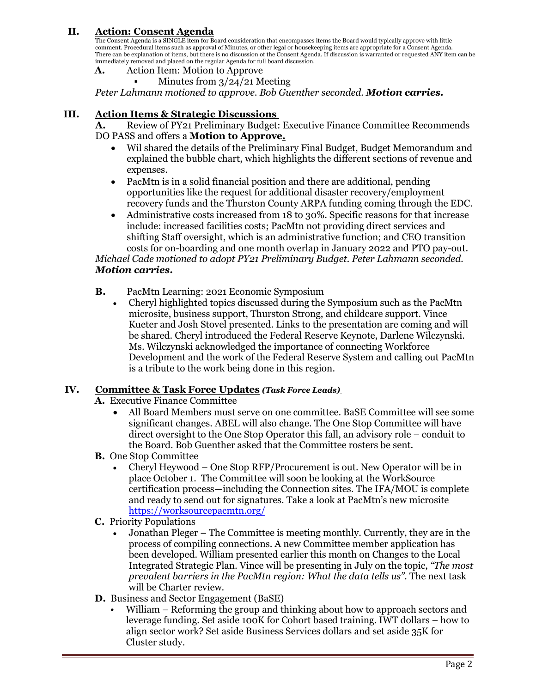## **II. Action: Consent Agenda**

The Consent Agenda is a SINGLE item for Board consideration that encompasses items the Board would typically approve with little<br>comment. Procedural items such as approval of Minutes, or other legal or housekeeping items a immediately removed and placed on the regular Agenda for full board discussion.

- **A.** Action Item: Motion to Approve
	- Minutes from 3/24/21 Meeting

*Peter Lahmann motioned to approve. Bob Guenther seconded. Motion carries.*

#### **III. Action Items & Strategic Discussions**

**A.** Review of PY21 Preliminary Budget: Executive Finance Committee Recommends DO PASS and offers a **Motion to Approve.**

- Wil shared the details of the Preliminary Final Budget, Budget Memorandum and explained the bubble chart, which highlights the different sections of revenue and expenses.
- PacMtn is in a solid financial position and there are additional, pending opportunities like the request for additional disaster recovery/employment recovery funds and the Thurston County ARPA funding coming through the EDC.
- Administrative costs increased from 18 to 30%. Specific reasons for that increase include: increased facilities costs; PacMtn not providing direct services and shifting Staff oversight, which is an administrative function; and CEO transition costs for on-boarding and one month overlap in January 2022 and PTO pay-out.

*Michael Cade motioned to adopt PY21 Preliminary Budget. Peter Lahmann seconded. Motion carries.*

- **B.** PacMtn Learning: 2021 Economic Symposium
	- Cheryl highlighted topics discussed during the Symposium such as the PacMtn microsite, business support, Thurston Strong, and childcare support. Vince Kueter and Josh Stovel presented. Links to the presentation are coming and will be shared. Cheryl introduced the Federal Reserve Keynote, Darlene Wilczynski. Ms. Wilczynski acknowledged the importance of connecting Workforce Development and the work of the Federal Reserve System and calling out PacMtn is a tribute to the work being done in this region.

#### **IV. Committee & Task Force Updates** *(Task Force Leads)*

- **A.** Executive Finance Committee
	- All Board Members must serve on one committee. BaSE Committee will see some significant changes. ABEL will also change. The One Stop Committee will have direct oversight to the One Stop Operator this fall, an advisory role – conduit to the Board. Bob Guenther asked that the Committee rosters be sent.
- **B.** One Stop Committee
	- Cheryl Heywood One Stop RFP/Procurement is out. New Operator will be in place October 1. The Committee will soon be looking at the WorkSource certification process—including the Connection sites. The IFA/MOU is complete and ready to send out for signatures. Take a look at PacMtn's new microsite <https://worksourcepacmtn.org/>
- **C.** Priority Populations
	- Jonathan Pleger The Committee is meeting monthly. Currently, they are in the process of compiling connections. A new Committee member application has been developed. William presented earlier this month on Changes to the Local Integrated Strategic Plan. Vince will be presenting in July on the topic, *"The most prevalent barriers in the PacMtn region: What the data tells us"*. The next task will be Charter review.
- **D.** Business and Sector Engagement (BaSE)
	- William Reforming the group and thinking about how to approach sectors and leverage funding. Set aside 100K for Cohort based training. IWT dollars – how to align sector work? Set aside Business Services dollars and set aside 35K for Cluster study.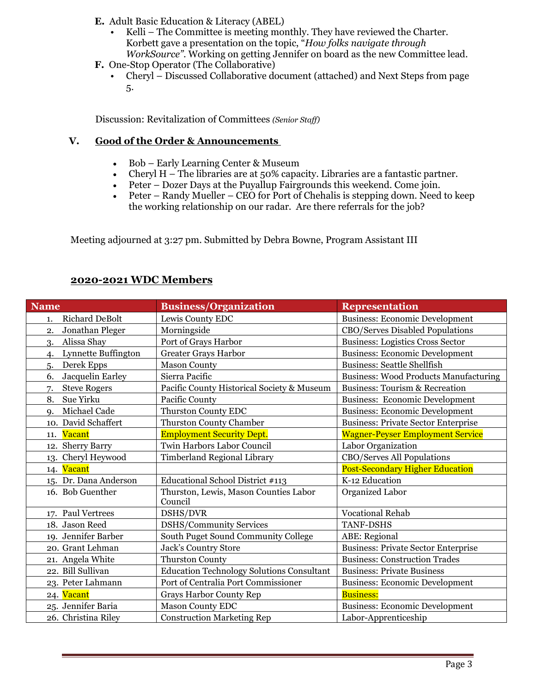- **E.** Adult Basic Education & Literacy (ABEL)
	- Kelli The Committee is meeting monthly. They have reviewed the Charter. Korbett gave a presentation on the topic, "*How folks navigate through WorkSource"*. Working on getting Jennifer on board as the new Committee lead.
- **F.** One-Stop Operator (The Collaborative)
	- Cheryl Discussed Collaborative document (attached) and Next Steps from page 5.

Discussion: Revitalization of Committees *(Senior Staff)*

### **V. Good of the Order & Announcements**

- Bob Early Learning Center & Museum
- Cheryl H The libraries are at 50% capacity. Libraries are a fantastic partner.
- Peter Dozer Days at the Puyallup Fairgrounds this weekend. Come join.
- Peter Randy Mueller CEO for Port of Chehalis is stepping down. Need to keep the working relationship on our radar. Are there referrals for the job?

Meeting adjourned at 3:27 pm. Submitted by Debra Bowne, Program Assistant III

# **2020-2021 WDC Members**

| <b>Name</b>                         | <b>Business/Organization</b>                     | <b>Representation</b>                        |
|-------------------------------------|--------------------------------------------------|----------------------------------------------|
| Richard DeBolt<br>1.                | Lewis County EDC                                 | <b>Business: Economic Development</b>        |
| Jonathan Pleger<br>2.               | Morningside                                      | CBO/Serves Disabled Populations              |
| Alissa Shay<br>3.                   | Port of Grays Harbor                             | <b>Business: Logistics Cross Sector</b>      |
| Lynnette Buffington<br>$\mathbf{4}$ | <b>Greater Grays Harbor</b>                      | <b>Business: Economic Development</b>        |
| Derek Epps<br>5.                    | <b>Mason County</b>                              | <b>Business: Seattle Shellfish</b>           |
| Jacquelin Earley<br>6.              | Sierra Pacific                                   | <b>Business: Wood Products Manufacturing</b> |
| <b>Steve Rogers</b><br>7.           | Pacific County Historical Society & Museum       | <b>Business: Tourism &amp; Recreation</b>    |
| 8.<br>Sue Yirku                     | Pacific County                                   | <b>Business: Economic Development</b>        |
| Michael Cade<br>$Q_{\star}$         | Thurston County EDC                              | <b>Business: Economic Development</b>        |
| 10. David Schaffert                 | Thurston County Chamber                          | <b>Business: Private Sector Enterprise</b>   |
| Vacant<br>11.                       | <b>Employment Security Dept.</b>                 | <b>Wagner-Peyser Employment Service</b>      |
| 12. Sherry Barry                    | Twin Harbors Labor Council                       | Labor Organization                           |
| 13. Cheryl Heywood                  | Timberland Regional Library                      | CBO/Serves All Populations                   |
| 14. Vacant                          |                                                  | <b>Post-Secondary Higher Education</b>       |
| 15. Dr. Dana Anderson               | Educational School District #113                 | K-12 Education                               |
| 16. Bob Guenther                    | Thurston, Lewis, Mason Counties Labor<br>Council | Organized Labor                              |
| 17. Paul Vertrees                   | DSHS/DVR                                         | <b>Vocational Rehab</b>                      |
| 18. Jason Reed                      | <b>DSHS/Community Services</b>                   | <b>TANF-DSHS</b>                             |
| 19. Jennifer Barber                 | South Puget Sound Community College              | ABE: Regional                                |
| 20. Grant Lehman                    | Jack's Country Store                             | <b>Business: Private Sector Enterprise</b>   |
| 21. Angela White                    | <b>Thurston County</b>                           | <b>Business: Construction Trades</b>         |
| 22. Bill Sullivan                   | <b>Education Technology Solutions Consultant</b> | <b>Business: Private Business</b>            |
| 23. Peter Lahmann                   | Port of Centralia Port Commissioner              | <b>Business: Economic Development</b>        |
| 24. Vacant                          | <b>Grays Harbor County Rep</b>                   | <b>Business:</b>                             |
| 25. Jennifer Baria                  | <b>Mason County EDC</b>                          | <b>Business: Economic Development</b>        |
| 26. Christina Riley                 | <b>Construction Marketing Rep</b>                | Labor-Apprenticeship                         |